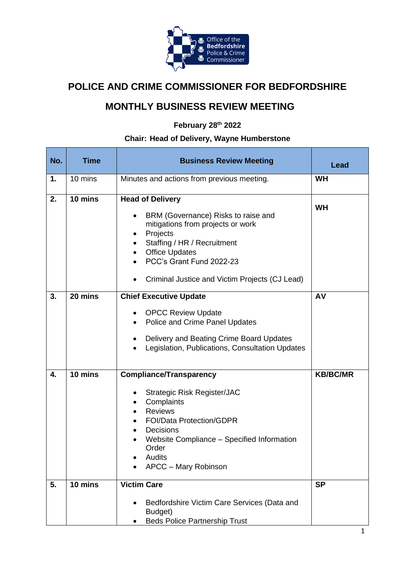

## **POLICE AND CRIME COMMISSIONER FOR BEDFORDSHIRE**

## **MONTHLY BUSINESS REVIEW MEETING**

**February 28th 2022**

## **Chair: Head of Delivery, Wayne Humberstone**

| No. | <b>Time</b>       | <b>Business Review Meeting</b>                                                                                                                                                                                                                                          | Lead            |
|-----|-------------------|-------------------------------------------------------------------------------------------------------------------------------------------------------------------------------------------------------------------------------------------------------------------------|-----------------|
| 1.  | 10 mins           | Minutes and actions from previous meeting.                                                                                                                                                                                                                              | <b>WH</b>       |
| 2.  | 10 mins           | <b>Head of Delivery</b><br>BRM (Governance) Risks to raise and<br>mitigations from projects or work<br>Projects<br>Staffing / HR / Recruitment<br><b>Office Updates</b><br>$\bullet$<br>PCC's Grant Fund 2022-23<br>Criminal Justice and Victim Projects (CJ Lead)      | <b>WH</b>       |
| 3.  | $20 \text{ mins}$ | <b>Chief Executive Update</b><br><b>OPCC Review Update</b><br>Police and Crime Panel Updates<br>Delivery and Beating Crime Board Updates<br>٠<br>Legislation, Publications, Consultation Updates                                                                        | AV              |
| 4.  | 10 mins           | <b>Compliance/Transparency</b><br><b>Strategic Risk Register/JAC</b><br>$\bullet$<br>Complaints<br><b>Reviews</b><br>$\bullet$<br><b>FOI/Data Protection/GDPR</b><br>Decisions<br>Website Compliance - Specified Information<br>Order<br>Audits<br>APCC - Mary Robinson | <b>KB/BC/MR</b> |
| 5.  | 10 mins           | <b>Victim Care</b><br>Bedfordshire Victim Care Services (Data and<br>Budget)<br><b>Beds Police Partnership Trust</b>                                                                                                                                                    | <b>SP</b>       |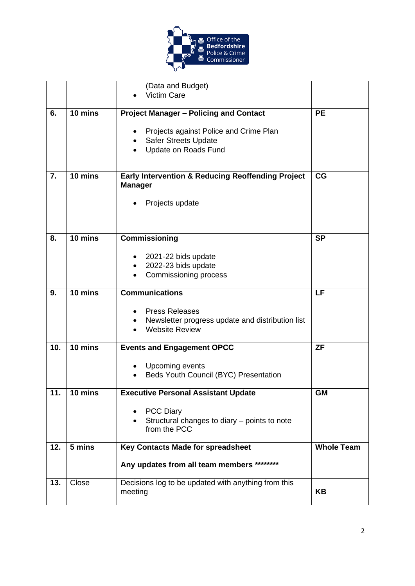

|     |                   | (Data and Budget)<br><b>Victim Care</b>                                                            |                   |
|-----|-------------------|----------------------------------------------------------------------------------------------------|-------------------|
| 6.  | $10 \text{ mins}$ | <b>Project Manager - Policing and Contact</b>                                                      | <b>PE</b>         |
|     |                   | Projects against Police and Crime Plan<br><b>Safer Streets Update</b><br>Update on Roads Fund      |                   |
| 7.  | 10 mins           | <b>Early Intervention &amp; Reducing Reoffending Project</b><br><b>Manager</b><br>Projects update  | CG                |
| 8.  | 10 mins           | <b>Commissioning</b>                                                                               | <b>SP</b>         |
|     |                   | 2021-22 bids update<br>2022-23 bids update<br>Commissioning process                                |                   |
| 9.  | $10 \text{ mins}$ | <b>Communications</b>                                                                              | LF                |
|     |                   | <b>Press Releases</b><br>Newsletter progress update and distribution list<br><b>Website Review</b> |                   |
| 10. | 10 mins           | <b>Events and Engagement OPCC</b>                                                                  | <b>ZF</b>         |
|     |                   | Upcoming events<br>Beds Youth Council (BYC) Presentation                                           |                   |
| 11. | 10 mins           | <b>Executive Personal Assistant Update</b>                                                         | GМ                |
|     |                   | <b>PCC Diary</b><br>Structural changes to diary - points to note<br>from the PCC                   |                   |
| 12. | 5 mins            | <b>Key Contacts Made for spreadsheet</b>                                                           | <b>Whole Team</b> |
|     |                   | Any updates from all team members ********                                                         |                   |
| 13. | Close             | Decisions log to be updated with anything from this<br>meeting                                     | <b>KB</b>         |